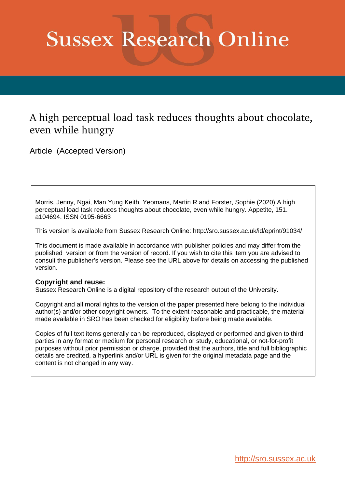# **Sussex Research Online**

### A high perceptual load task reduces thoughts about chocolate, even while hungry

Article (Accepted Version)

Morris, Jenny, Ngai, Man Yung Keith, Yeomans, Martin R and Forster, Sophie (2020) A high perceptual load task reduces thoughts about chocolate, even while hungry. Appetite, 151. a104694. ISSN 0195-6663

This version is available from Sussex Research Online: http://sro.sussex.ac.uk/id/eprint/91034/

This document is made available in accordance with publisher policies and may differ from the published version or from the version of record. If you wish to cite this item you are advised to consult the publisher's version. Please see the URL above for details on accessing the published version.

#### **Copyright and reuse:**

Sussex Research Online is a digital repository of the research output of the University.

Copyright and all moral rights to the version of the paper presented here belong to the individual author(s) and/or other copyright owners. To the extent reasonable and practicable, the material made available in SRO has been checked for eligibility before being made available.

Copies of full text items generally can be reproduced, displayed or performed and given to third parties in any format or medium for personal research or study, educational, or not-for-profit purposes without prior permission or charge, provided that the authors, title and full bibliographic details are credited, a hyperlink and/or URL is given for the original metadata page and the content is not changed in any way.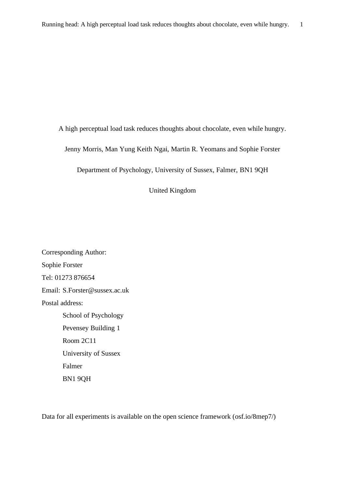A high perceptual load task reduces thoughts about chocolate, even while hungry.

Jenny Morris, Man Yung Keith Ngai, Martin R. Yeomans and Sophie Forster

Department of Psychology, University of Sussex, Falmer, BN1 9QH

United Kingdom

Corresponding Author: Sophie Forster Tel: 01273 876654 Email: S.Forster@sussex.ac.uk Postal address: School of Psychology Pevensey Building 1 Room 2C11 University of Sussex Falmer BN1 9QH

Data for all experiments is available on the open science framework (osf.io/8mep7/)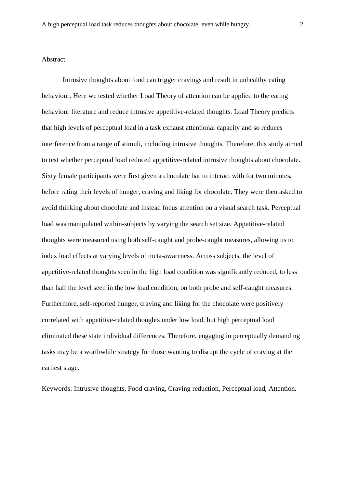#### Abstract

Intrusive thoughts about food can trigger cravings and result in unhealthy eating behaviour. Here we tested whether Load Theory of attention can be applied to the eating behaviour literature and reduce intrusive appetitive-related thoughts. Load Theory predicts that high levels of perceptual load in a task exhaust attentional capacity and so reduces interference from a range of stimuli, including intrusive thoughts. Therefore, this study aimed to test whether perceptual load reduced appetitive-related intrusive thoughts about chocolate. Sixty female participants were first given a chocolate bar to interact with for two minutes, before rating their levels of hunger, craving and liking for chocolate. They were then asked to avoid thinking about chocolate and instead focus attention on a visual search task. Perceptual load was manipulated within-subjects by varying the search set size. Appetitive-related thoughts were measured using both self-caught and probe-caught measures, allowing us to index load effects at varying levels of meta-awareness. Across subjects, the level of appetitive-related thoughts seen in the high load condition was significantly reduced, to less than half the level seen in the low load condition, on both probe and self-caught measures. Furthermore, self-reported hunger, craving and liking for the chocolate were positively correlated with appetitive-related thoughts under low load, but high perceptual load eliminated these state individual differences. Therefore, engaging in perceptually demanding tasks may be a worthwhile strategy for those wanting to disrupt the cycle of craving at the earliest stage.

Keywords: Intrusive thoughts, Food craving, Craving reduction, Perceptual load, Attention.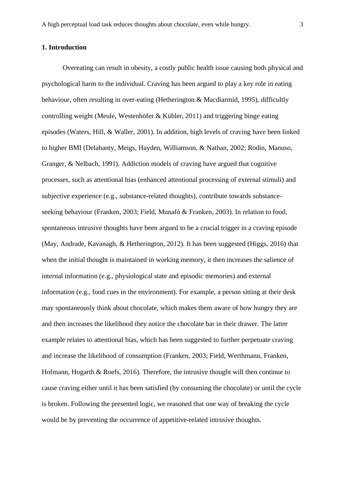#### **1. Introduction**

Overeating can result in obesity, a costly public health issue causing both physical and psychological harm to the individual. Craving has been argued to play a key role in eating behaviour, often resulting in over-eating (Hetherington & Macdiarmid, 1995), difficultly controlling weight (Meule, Westenhöfer  $\&$  Kübler, 2011) and triggering binge eating episodes (Waters, Hill, & Waller, 2001). In addition, high levels of craving have been linked to higher BMI (Delahanty, Meigs, Hayden, Williamson, & Nathan, 2002; Rodin, Manuso, Granger, & Nelbach, 1991). Addiction models of craving have argued that cognitive processes, such as attentional bias (enhanced attentional processing of external stimuli) and subjective experience (e.g., substance-related thoughts), contribute towards substanceseeking behaviour (Franken, 2003; Field, Munafò & Franken, 2003). In relation to food, spontaneous intrusive thoughts have been argued to be a crucial trigger in a craving episode (May, Andrade, Kavanagh, & Hetherington, 2012). It has been suggested (Higgs, 2016) that when the initial thought is maintained in working memory, it then increases the salience of internal information (e.g., physiological state and episodic memories) and external information (e.g., food cues in the environment). For example, a person sitting at their desk may spontaneously think about chocolate, which makes them aware of how hungry they are and then increases the likelihood they notice the chocolate bar in their drawer. The latter example relates to attentional bias, which has been suggested to further perpetuate craving and increase the likelihood of consumption (Franken, 2003; Field, Werthmann, Franken, Hofmann, Hogarth & Roefs, 2016). Therefore, the intrusive thought will then continue to cause craving either until it has been satisfied (by consuming the chocolate) or until the cycle is broken. Following the presented logic, we reasoned that one way of breaking the cycle would be by preventing the occurrence of appetitive-related intrusive thoughts.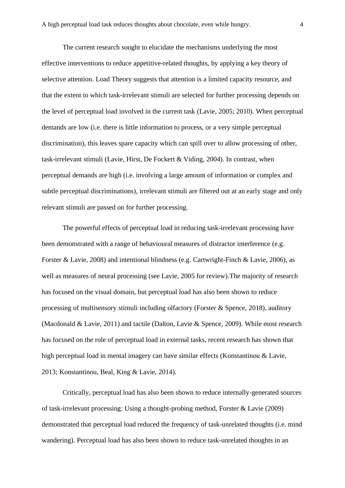The current research sought to elucidate the mechanisms underlying the most effective interventions to reduce appetitive-related thoughts, by applying a key theory of selective attention. Load Theory suggests that attention is a limited capacity resource, and that the extent to which task-irrelevant stimuli are selected for further processing depends on the level of perceptual load involved in the current task (Lavie, 2005; 2010). When perceptual demands are low (i.e. there is little information to process, or a very simple perceptual discrimination), this leaves spare capacity which can spill over to allow processing of other, task-irrelevant stimuli (Lavie, Hirst, De Fockert & Viding, 2004). In contrast, when perceptual demands are high (i.e. involving a large amount of information or complex and subtle perceptual discriminations), irrelevant stimuli are filtered out at an early stage and only relevant stimuli are passed on for further processing.

The powerful effects of perceptual load in reducing task-irrelevant processing have been demonstrated with a range of behavioural measures of distractor interference (e.g. Forster & Lavie, 2008) and intentional blindness (e.g. Cartwright-Finch & Lavie, 2006), as well as measures of neural processing (see Lavie, 2005 for review).The majority of research has focused on the visual domain, but perceptual load has also been shown to reduce processing of multisensory stimuli including olfactory (Forster & Spence, 2018), auditory (Macdonald & Lavie, 2011) and tactile (Dalton, Lavie & Spence, 2009). While most research has focused on the role of perceptual load in external tasks, recent research has shown that high perceptual load in mental imagery can have similar effects (Konstantinou & Lavie, 2013; Konstantinou, Beal, King & Lavie, 2014).

Critically, perceptual load has also been shown to reduce internally-generated sources of task-irrelevant processing: Using a thought-probing method, Forster & Lavie (2009) demonstrated that perceptual load reduced the frequency of task-unrelated thoughts (i.e. mind wandering). Perceptual load has also been shown to reduce task-unrelated thoughts in an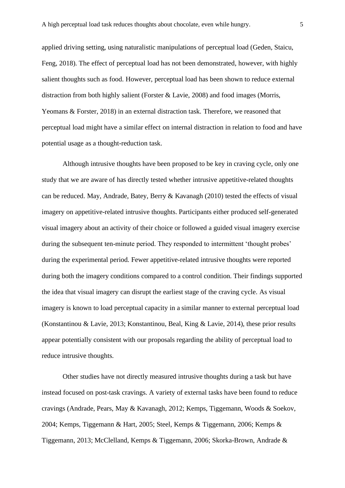applied driving setting, using naturalistic manipulations of perceptual load (Geden, Staicu, Feng, 2018). The effect of perceptual load has not been demonstrated, however, with highly salient thoughts such as food. However, perceptual load has been shown to reduce external distraction from both highly salient (Forster & Lavie, 2008) and food images (Morris, Yeomans & Forster, 2018) in an external distraction task. Therefore, we reasoned that perceptual load might have a similar effect on internal distraction in relation to food and have potential usage as a thought-reduction task.

Although intrusive thoughts have been proposed to be key in craving cycle, only one study that we are aware of has directly tested whether intrusive appetitive-related thoughts can be reduced. May, Andrade, Batey, Berry & Kavanagh (2010) tested the effects of visual imagery on appetitive-related intrusive thoughts. Participants either produced self-generated visual imagery about an activity of their choice or followed a guided visual imagery exercise during the subsequent ten-minute period. They responded to intermittent 'thought probes' during the experimental period. Fewer appetitive-related intrusive thoughts were reported during both the imagery conditions compared to a control condition. Their findings supported the idea that visual imagery can disrupt the earliest stage of the craving cycle. As visual imagery is known to load perceptual capacity in a similar manner to external perceptual load (Konstantinou & Lavie, 2013; Konstantinou, Beal, King & Lavie, 2014), these prior results appear potentially consistent with our proposals regarding the ability of perceptual load to reduce intrusive thoughts.

Other studies have not directly measured intrusive thoughts during a task but have instead focused on post-task cravings. A variety of external tasks have been found to reduce cravings (Andrade, Pears, May & Kavanagh, 2012; Kemps, Tiggemann, Woods & Soekov, 2004; Kemps, Tiggemann & Hart, 2005; Steel, Kemps & Tiggemann, 2006; Kemps & Tiggemann, 2013; McClelland, Kemps & Tiggemann, 2006; Skorka-Brown, Andrade &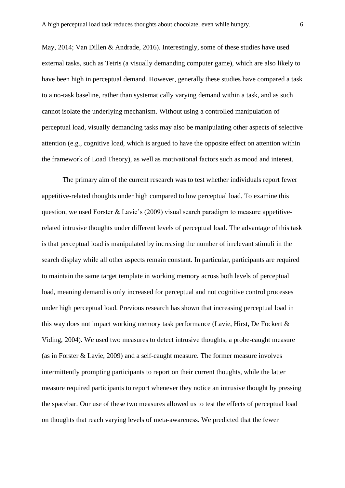May, 2014; Van Dillen & Andrade, 2016). Interestingly, some of these studies have used external tasks, such as Tetris (a visually demanding computer game), which are also likely to have been high in perceptual demand. However, generally these studies have compared a task to a no-task baseline, rather than systematically varying demand within a task, and as such cannot isolate the underlying mechanism. Without using a controlled manipulation of perceptual load, visually demanding tasks may also be manipulating other aspects of selective attention (e.g., cognitive load, which is argued to have the opposite effect on attention within the framework of Load Theory), as well as motivational factors such as mood and interest.

The primary aim of the current research was to test whether individuals report fewer appetitive-related thoughts under high compared to low perceptual load. To examine this question, we used Forster & Lavie's (2009) visual search paradigm to measure appetitiverelated intrusive thoughts under different levels of perceptual load. The advantage of this task is that perceptual load is manipulated by increasing the number of irrelevant stimuli in the search display while all other aspects remain constant. In particular, participants are required to maintain the same target template in working memory across both levels of perceptual load, meaning demand is only increased for perceptual and not cognitive control processes under high perceptual load. Previous research has shown that increasing perceptual load in this way does not impact working memory task performance (Lavie, Hirst, De Fockert & Viding, 2004). We used two measures to detect intrusive thoughts, a probe-caught measure (as in Forster & Lavie, 2009) and a self-caught measure. The former measure involves intermittently prompting participants to report on their current thoughts, while the latter measure required participants to report whenever they notice an intrusive thought by pressing the spacebar. Our use of these two measures allowed us to test the effects of perceptual load on thoughts that reach varying levels of meta-awareness. We predicted that the fewer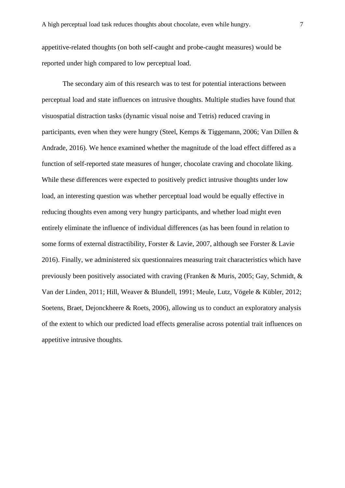appetitive-related thoughts (on both self-caught and probe-caught measures) would be reported under high compared to low perceptual load.

The secondary aim of this research was to test for potential interactions between perceptual load and state influences on intrusive thoughts. Multiple studies have found that visuospatial distraction tasks (dynamic visual noise and Tetris) reduced craving in participants, even when they were hungry (Steel, Kemps & Tiggemann, 2006; Van Dillen & Andrade, 2016). We hence examined whether the magnitude of the load effect differed as a function of self-reported state measures of hunger, chocolate craving and chocolate liking. While these differences were expected to positively predict intrusive thoughts under low load, an interesting question was whether perceptual load would be equally effective in reducing thoughts even among very hungry participants, and whether load might even entirely eliminate the influence of individual differences (as has been found in relation to some forms of external distractibility, Forster & Lavie, 2007, although see Forster & Lavie 2016). Finally, we administered six questionnaires measuring trait characteristics which have previously been positively associated with craving (Franken & Muris, 2005; Gay, Schmidt, & Van der Linden, 2011; Hill, Weaver & Blundell, 1991; Meule, Lutz, Vögele & Kübler, 2012; Soetens, Braet, Dejonckheere & Roets, 2006), allowing us to conduct an exploratory analysis of the extent to which our predicted load effects generalise across potential trait influences on appetitive intrusive thoughts.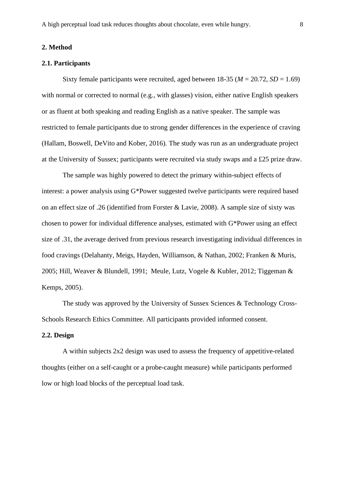#### **2. Method**

#### **2.1. Participants**

Sixty female participants were recruited, aged between  $18-35 (M = 20.72, SD = 1.69)$ with normal or corrected to normal (e.g., with glasses) vision, either native English speakers or as fluent at both speaking and reading English as a native speaker. The sample was restricted to female participants due to strong gender differences in the experience of craving (Hallam, Boswell, DeVito and Kober, 2016). The study was run as an undergraduate project at the University of Sussex; participants were recruited via study swaps and a £25 prize draw.

The sample was highly powered to detect the primary within-subject effects of interest: a power analysis using G\*Power suggested twelve participants were required based on an effect size of .26 (identified from Forster & Lavie, 2008). A sample size of sixty was chosen to power for individual difference analyses, estimated with G\*Power using an effect size of .31, the average derived from previous research investigating individual differences in food cravings (Delahanty, Meigs, Hayden, Williamson, & Nathan, 2002; Franken & Muris, 2005; Hill, Weaver & Blundell, 1991; Meule, Lutz, Vogele & Kubler, 2012; Tiggeman & Kemps, 2005).

The study was approved by the University of Sussex Sciences & Technology Cross-Schools Research Ethics Committee. All participants provided informed consent.

#### **2.2. Design**

A within subjects 2x2 design was used to assess the frequency of appetitive-related thoughts (either on a self-caught or a probe-caught measure) while participants performed low or high load blocks of the perceptual load task.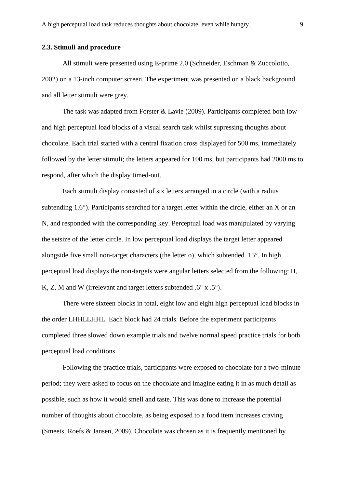#### **2.3. Stimuli and procedure**

All stimuli were presented using E-prime 2.0 (Schneider, Eschman & Zuccolotto, 2002) on a 13-inch computer screen. The experiment was presented on a black background and all letter stimuli were grey.

The task was adapted from Forster & Lavie (2009). Participants completed both low and high perceptual load blocks of a visual search task whilst supressing thoughts about chocolate. Each trial started with a central fixation cross displayed for 500 ms, immediately followed by the letter stimuli; the letters appeared for 100 ms, but participants had 2000 ms to respond, after which the display timed-out.

Each stimuli display consisted of six letters arranged in a circle (with a radius subtending 1.6°). Participants searched for a target letter within the circle, either an X or an N, and responded with the corresponding key. Perceptual load was manipulated by varying the setsize of the letter circle. In low perceptual load displays the target letter appeared alongside five small non-target characters (the letter o), which subtended  $.15^{\circ}$ . In high perceptual load displays the non-targets were angular letters selected from the following: H, K, Z, M and W (irrelevant and target letters subtended  $.6^\circ$  x  $.5^\circ$ ).

There were sixteen blocks in total, eight low and eight high perceptual load blocks in the order LHHLLHHL. Each block had 24 trials. Before the experiment participants completed three slowed down example trials and twelve normal speed practice trials for both perceptual load conditions.

Following the practice trials, participants were exposed to chocolate for a two-minute period; they were asked to focus on the chocolate and imagine eating it in as much detail as possible, such as how it would smell and taste. This was done to increase the potential number of thoughts about chocolate, as being exposed to a food item increases craving (Smeets, Roefs & Jansen, 2009). Chocolate was chosen as it is frequently mentioned by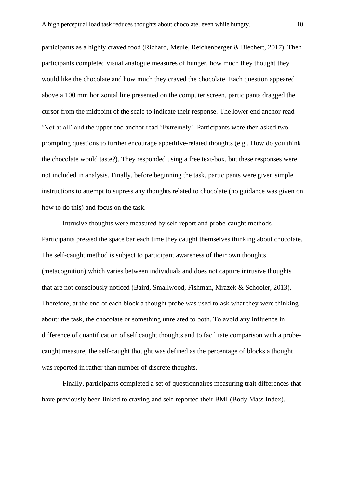participants as a highly craved food (Richard, Meule, Reichenberger & Blechert, 2017). Then participants completed visual analogue measures of hunger, how much they thought they would like the chocolate and how much they craved the chocolate. Each question appeared above a 100 mm horizontal line presented on the computer screen, participants dragged the cursor from the midpoint of the scale to indicate their response. The lower end anchor read 'Not at all' and the upper end anchor read 'Extremely'. Participants were then asked two prompting questions to further encourage appetitive-related thoughts (e.g., How do you think the chocolate would taste?). They responded using a free text-box, but these responses were not included in analysis. Finally, before beginning the task, participants were given simple instructions to attempt to supress any thoughts related to chocolate (no guidance was given on how to do this) and focus on the task.

Intrusive thoughts were measured by self-report and probe-caught methods. Participants pressed the space bar each time they caught themselves thinking about chocolate. The self-caught method is subject to participant awareness of their own thoughts (metacognition) which varies between individuals and does not capture intrusive thoughts that are not consciously noticed (Baird, Smallwood, Fishman, Mrazek & Schooler, 2013). Therefore, at the end of each block a thought probe was used to ask what they were thinking about: the task, the chocolate or something unrelated to both. To avoid any influence in difference of quantification of self caught thoughts and to facilitate comparison with a probecaught measure, the self-caught thought was defined as the percentage of blocks a thought was reported in rather than number of discrete thoughts.

Finally, participants completed a set of questionnaires measuring trait differences that have previously been linked to craving and self-reported their BMI (Body Mass Index).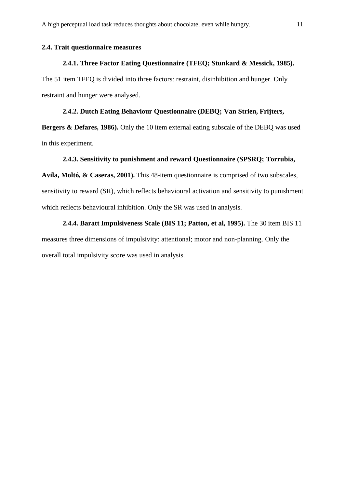#### **2.4. Trait questionnaire measures**

#### **2.4.1. Three Factor Eating Questionnaire (TFEQ; Stunkard & Messick, 1985).**

The 51 item TFEQ is divided into three factors: restraint, disinhibition and hunger. Only restraint and hunger were analysed.

#### **2.4.2. Dutch Eating Behaviour Questionnaire (DEBQ; Van Strien, Frijters,**

**Bergers & Defares, 1986).** Only the 10 item external eating subscale of the DEBQ was used in this experiment.

#### **2.4.3. Sensitivity to punishment and reward Questionnaire (SPSRQ; Torrubia,**

**Avila, Moltó, & Caseras, 2001).** This 48-item questionnaire is comprised of two subscales, sensitivity to reward (SR), which reflects behavioural activation and sensitivity to punishment which reflects behavioural inhibition. Only the SR was used in analysis.

## **2.4.4. Baratt Impulsiveness Scale (BIS 11; Patton, et al, 1995).** The 30 item BIS 11

measures three dimensions of impulsivity: attentional; motor and non-planning. Only the overall total impulsivity score was used in analysis.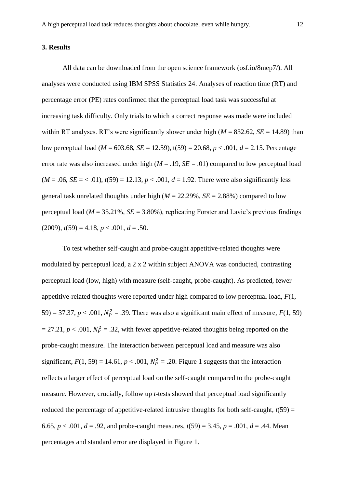#### **3. Results**

All data can be downloaded from the open science framework [\(osf.io/8mep7/\)](https://osf.io/8mep7/). All analyses were conducted using IBM SPSS Statistics 24. Analyses of reaction time (RT) and percentage error (PE) rates confirmed that the perceptual load task was successful at increasing task difficulty. Only trials to which a correct response was made were included within RT analyses. RT's were significantly slower under high  $(M = 832.62, SE = 14.89)$  than low perceptual load (*M* = 603.68, *SE* = 12.59), t(59) = 20.68, *p* < .001, *d* = 2.15. Percentage error rate was also increased under high  $(M = .19, SE = .01)$  compared to low perceptual load  $(M = .06, SE = < .01)$ ,  $t(59) = 12.13$ ,  $p < .001$ ,  $d = 1.92$ . There were also significantly less general task unrelated thoughts under high (*M* = 22.29%, *SE* = 2.88%) compared to low perceptual load ( $M = 35.21\%$ ,  $SE = 3.80\%$ ), replicating Forster and Lavie's previous findings  $(2009)$ ,  $t(59) = 4.18$ ,  $p < .001$ ,  $d = .50$ .

To test whether self-caught and probe-caught appetitive-related thoughts were modulated by perceptual load, a 2 x 2 within subject ANOVA was conducted, contrasting perceptual load (low, high) with measure (self-caught, probe-caught). As predicted, fewer appetitive-related thoughts were reported under high compared to low perceptual load, *F*(1, 59) = 37.37,  $p < .001$ ,  $N_P^2 = .39$ . There was also a significant main effect of measure,  $F(1, 59)$  $= 27.21, p < .001, N_P^2 = .32$ , with fewer appetitive-related thoughts being reported on the probe-caught measure. The interaction between perceptual load and measure was also significant,  $F(1, 59) = 14.61$ ,  $p < .001$ ,  $N_P^2 = .20$ . Figure 1 suggests that the interaction reflects a larger effect of perceptual load on the self-caught compared to the probe-caught measure. However, crucially, follow up *t*-tests showed that perceptual load significantly reduced the percentage of appetitive-related intrusive thoughts for both self-caught,  $t(59)$  = 6.65,  $p < .001$ ,  $d = .92$ , and probe-caught measures,  $t(59) = 3.45$ ,  $p = .001$ ,  $d = .44$ . Mean percentages and standard error are displayed in Figure 1.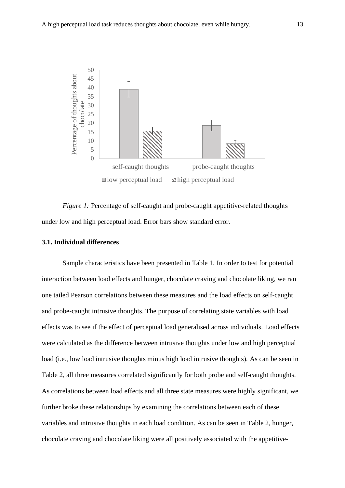

*Figure 1:* Percentage of self-caught and probe-caught appetitive-related thoughts under low and high perceptual load. Error bars show standard error.

#### **3.1. Individual differences**

Sample characteristics have been presented in Table 1. In order to test for potential interaction between load effects and hunger, chocolate craving and chocolate liking, we ran one tailed Pearson correlations between these measures and the load effects on self-caught and probe-caught intrusive thoughts. The purpose of correlating state variables with load effects was to see if the effect of perceptual load generalised across individuals. Load effects were calculated as the difference between intrusive thoughts under low and high perceptual load (i.e., low load intrusive thoughts minus high load intrusive thoughts). As can be seen in Table 2, all three measures correlated significantly for both probe and self-caught thoughts. As correlations between load effects and all three state measures were highly significant, we further broke these relationships by examining the correlations between each of these variables and intrusive thoughts in each load condition. As can be seen in Table 2, hunger, chocolate craving and chocolate liking were all positively associated with the appetitive-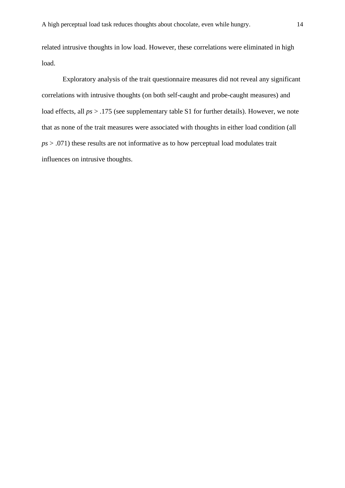related intrusive thoughts in low load. However, these correlations were eliminated in high load.

Exploratory analysis of the trait questionnaire measures did not reveal any significant correlations with intrusive thoughts (on both self-caught and probe-caught measures) and load effects, all  $ps > 0.175$  (see supplementary table S1 for further details). However, we note that as none of the trait measures were associated with thoughts in either load condition (all *ps* > .071) these results are not informative as to how perceptual load modulates trait influences on intrusive thoughts.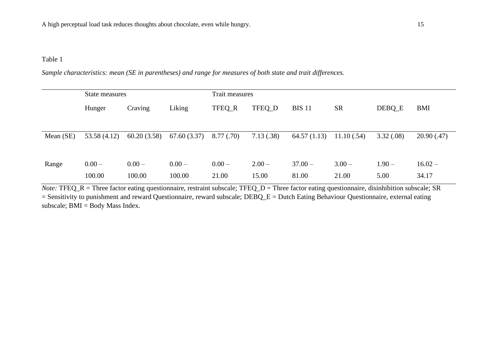#### Table 1

*Sample characteristics: mean (SE in parentheses) and range for measures of both state and trait differences.*

|           | State measures |             |             | Trait measures |           |               |            |           |            |
|-----------|----------------|-------------|-------------|----------------|-----------|---------------|------------|-----------|------------|
|           | Hunger         | Craving     | Liking      | TFEQ_R         | TFEQ_D    | <b>BIS 11</b> | <b>SR</b>  | DEBQ_E    | BMI        |
|           |                |             |             |                |           |               |            |           |            |
| Mean (SE) | 53.58 (4.12)   | 60.20(3.58) | 67.60(3.37) | 8.77(.70)      | 7.13(.38) | 64.57(1.13)   | 11.10(.54) | 3.32(.08) | 20.90(.47) |
|           |                |             |             |                |           |               |            |           |            |
| Range     | $0.00 -$       | $0.00 -$    | $0.00 -$    | $0.00 -$       | $2.00 -$  | $37.00 -$     | $3.00 -$   | $1.90 -$  | $16.02 -$  |
|           | 100.00         | 100.00      | 100.00      | 21.00          | 15.00     | 81.00         | 21.00      | 5.00      | 34.17      |

*Note:* **TFEQ\_R** = Three factor eating questionnaire, restraint subscale; **TFEQ\_D** = Three factor eating questionnaire, disinhibition subscale; SR = Sensitivity to punishment and reward Questionnaire, reward subscale; DEBQ\_E = Dutch Eating Behaviour Questionnaire, external eating subscale; BMI = Body Mass Index.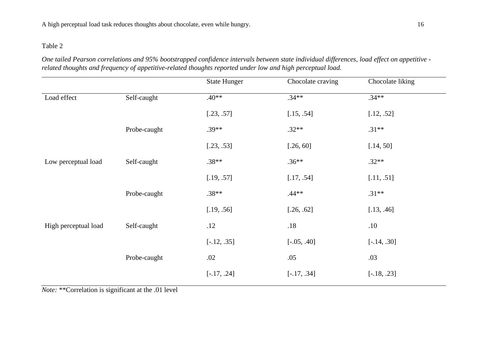#### Table 2

*One tailed Pearson correlations and 95% bootstrapped confidence intervals between state individual differences, load effect on appetitive related thoughts and frequency of appetitive-related thoughts reported under low and high perceptual load.*

|                      |              | <b>State Hunger</b> | Chocolate craving | Chocolate liking |  |
|----------------------|--------------|---------------------|-------------------|------------------|--|
| Load effect          | Self-caught  | $.40**$             | $.34**$           | $.34**$          |  |
|                      |              | [.23, .57]          | [.15, .54]        | [.12, .52]       |  |
|                      | Probe-caught | $.39**$             | $.32**$           | $.31**$          |  |
|                      |              | [.23, .53]          | [.26, 60]         | [.14, 50]        |  |
| Low perceptual load  | Self-caught  | $.38**$             | $.36**$           | $.32**$          |  |
|                      |              | [.19, .57]          | [.17, .54]        | [.11, .51]       |  |
|                      | Probe-caught | $.38**$             | $.44**$           | $.31**$          |  |
|                      |              | [.19, .56]          | [.26, .62]        | [.13, .46]       |  |
| High perceptual load | Self-caught  | .12                 | $.18$             | .10              |  |
|                      |              | $[-.12, .35]$       | $[-.05, .40]$     | $[-.14, .30]$    |  |
|                      | Probe-caught | .02                 | .05               | .03              |  |
|                      |              | $[-.17, .24]$       | $[-.17, .34]$     | $[-.18, .23]$    |  |
|                      |              |                     |                   |                  |  |

*Note:* \*\*Correlation is significant at the .01 level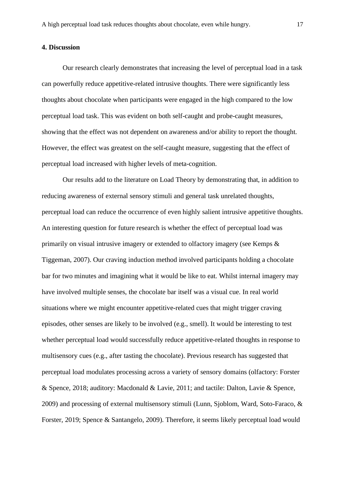#### **4. Discussion**

Our research clearly demonstrates that increasing the level of perceptual load in a task can powerfully reduce appetitive-related intrusive thoughts. There were significantly less thoughts about chocolate when participants were engaged in the high compared to the low perceptual load task. This was evident on both self-caught and probe-caught measures, showing that the effect was not dependent on awareness and/or ability to report the thought. However, the effect was greatest on the self-caught measure, suggesting that the effect of perceptual load increased with higher levels of meta-cognition.

Our results add to the literature on Load Theory by demonstrating that, in addition to reducing awareness of external sensory stimuli and general task unrelated thoughts, perceptual load can reduce the occurrence of even highly salient intrusive appetitive thoughts. An interesting question for future research is whether the effect of perceptual load was primarily on visual intrusive imagery or extended to olfactory imagery (see Kemps & Tiggeman, 2007). Our craving induction method involved participants holding a chocolate bar for two minutes and imagining what it would be like to eat. Whilst internal imagery may have involved multiple senses, the chocolate bar itself was a visual cue. In real world situations where we might encounter appetitive-related cues that might trigger craving episodes, other senses are likely to be involved (e.g., smell). It would be interesting to test whether perceptual load would successfully reduce appetitive-related thoughts in response to multisensory cues (e.g., after tasting the chocolate). Previous research has suggested that perceptual load modulates processing across a variety of sensory domains (olfactory: Forster & Spence, 2018; auditory: Macdonald & Lavie, 2011; and tactile: Dalton, Lavie & Spence, 2009) and processing of external multisensory stimuli (Lunn, Sjoblom, Ward, Soto-Faraco, & Forster, 2019; Spence & Santangelo, 2009). Therefore, it seems likely perceptual load would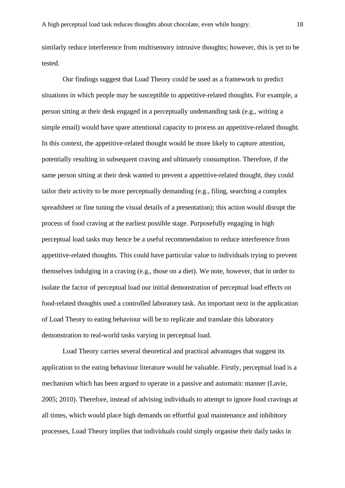similarly reduce interference from multisensory intrusive thoughts; however, this is yet to be tested.

Our findings suggest that Load Theory could be used as a framework to predict situations in which people may be susceptible to appetitive-related thoughts. For example, a person sitting at their desk engaged in a perceptually undemanding task (e.g., writing a simple email) would have spare attentional capacity to process an appetitive-related thought. In this context, the appetitive-related thought would be more likely to capture attention, potentially resulting in subsequent craving and ultimately consumption. Therefore, if the same person sitting at their desk wanted to prevent a appetitive-related thought, they could tailor their activity to be more perceptually demanding (e.g., filing, searching a complex spreadsheet or fine tuning the visual details of a presentation); this action would disrupt the process of food craving at the earliest possible stage. Purposefully engaging in high perceptual load tasks may hence be a useful recommendation to reduce interference from appetitive-related thoughts. This could have particular value to individuals trying to prevent themselves indulging in a craving (e.g., those on a diet). We note, however, that in order to isolate the factor of perceptual load our initial demonstration of perceptual load effects on food-related thoughts used a controlled laboratory task. An important next in the application of Load Theory to eating behaviour will be to replicate and translate this laboratory demonstration to real-world tasks varying in perceptual load.

Load Theory carries several theoretical and practical advantages that suggest its application to the eating behaviour literature would be valuable. Firstly, perceptual load is a mechanism which has been argued to operate in a passive and automatic manner (Lavie, 2005; 2010). Therefore, instead of advising individuals to attempt to ignore food cravings at all times, which would place high demands on effortful goal maintenance and inhibitory processes, Load Theory implies that individuals could simply organise their daily tasks in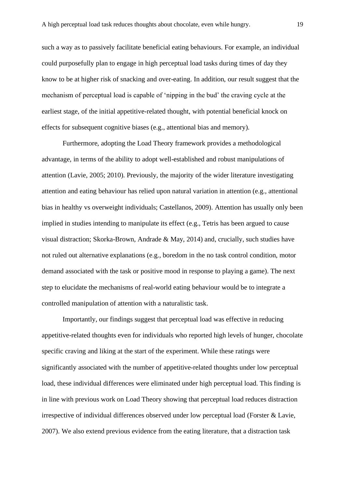such a way as to passively facilitate beneficial eating behaviours. For example, an individual could purposefully plan to engage in high perceptual load tasks during times of day they know to be at higher risk of snacking and over-eating. In addition, our result suggest that the mechanism of perceptual load is capable of 'nipping in the bud' the craving cycle at the earliest stage, of the initial appetitive-related thought, with potential beneficial knock on effects for subsequent cognitive biases (e.g., attentional bias and memory).

Furthermore, adopting the Load Theory framework provides a methodological advantage, in terms of the ability to adopt well-established and robust manipulations of attention (Lavie, 2005; 2010). Previously, the majority of the wider literature investigating attention and eating behaviour has relied upon natural variation in attention (e.g., attentional bias in healthy vs overweight individuals; Castellanos, 2009). Attention has usually only been implied in studies intending to manipulate its effect (e.g., Tetris has been argued to cause visual distraction; Skorka-Brown, Andrade & May, 2014) and, crucially, such studies have not ruled out alternative explanations (e.g., boredom in the no task control condition, motor demand associated with the task or positive mood in response to playing a game). The next step to elucidate the mechanisms of real-world eating behaviour would be to integrate a controlled manipulation of attention with a naturalistic task.

Importantly, our findings suggest that perceptual load was effective in reducing appetitive-related thoughts even for individuals who reported high levels of hunger, chocolate specific craving and liking at the start of the experiment. While these ratings were significantly associated with the number of appetitive-related thoughts under low perceptual load, these individual differences were eliminated under high perceptual load. This finding is in line with previous work on Load Theory showing that perceptual load reduces distraction irrespective of individual differences observed under low perceptual load (Forster & Lavie, 2007). We also extend previous evidence from the eating literature, that a distraction task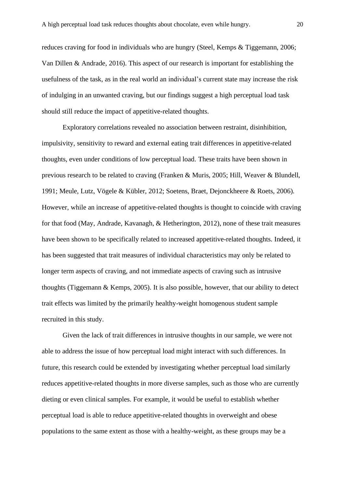reduces craving for food in individuals who are hungry (Steel, Kemps & Tiggemann, 2006; Van Dillen & Andrade, 2016). This aspect of our research is important for establishing the usefulness of the task, as in the real world an individual's current state may increase the risk of indulging in an unwanted craving, but our findings suggest a high perceptual load task should still reduce the impact of appetitive-related thoughts.

Exploratory correlations revealed no association between restraint, disinhibition, impulsivity, sensitivity to reward and external eating trait differences in appetitive-related thoughts, even under conditions of low perceptual load. These traits have been shown in previous research to be related to craving (Franken & Muris, 2005; Hill, Weaver & Blundell, 1991; Meule, Lutz, Vögele & Kübler, 2012; Soetens, Braet, Dejonckheere & Roets, 2006). However, while an increase of appetitive-related thoughts is thought to coincide with craving for that food (May, Andrade, Kavanagh, & Hetherington, 2012), none of these trait measures have been shown to be specifically related to increased appetitive-related thoughts. Indeed, it has been suggested that trait measures of individual characteristics may only be related to longer term aspects of craving, and not immediate aspects of craving such as intrusive thoughts (Tiggemann & Kemps, 2005). It is also possible, however, that our ability to detect trait effects was limited by the primarily healthy-weight homogenous student sample recruited in this study.

Given the lack of trait differences in intrusive thoughts in our sample, we were not able to address the issue of how perceptual load might interact with such differences. In future, this research could be extended by investigating whether perceptual load similarly reduces appetitive-related thoughts in more diverse samples, such as those who are currently dieting or even clinical samples. For example, it would be useful to establish whether perceptual load is able to reduce appetitive-related thoughts in overweight and obese populations to the same extent as those with a healthy-weight, as these groups may be a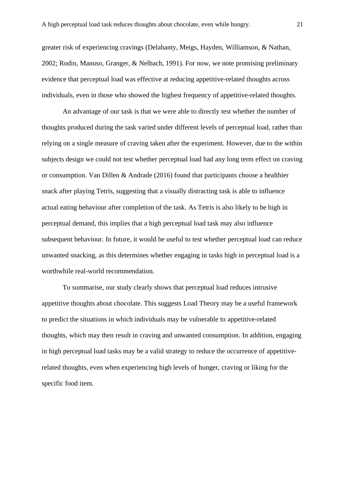greater risk of experiencing cravings (Delahanty, Meigs, Hayden, Williamson, & Nathan, 2002; Rodin, Manuso, Granger, & Nelbach, 1991). For now, we note promising preliminary evidence that perceptual load was effective at reducing appetitive-related thoughts across individuals, even in those who showed the highest frequency of appetitive-related thoughts.

An advantage of our task is that we were able to directly test whether the number of thoughts produced during the task varied under different levels of perceptual load, rather than relying on a single measure of craving taken after the experiment. However, due to the within subjects design we could not test whether perceptual load had any long term effect on craving or consumption. Van Dillen & Andrade (2016) found that participants choose a healthier snack after playing Tetris, suggesting that a visually distracting task is able to influence actual eating behaviour after completion of the task. As Tetris is also likely to be high in perceptual demand, this implies that a high perceptual load task may also influence subsequent behaviour. In future, it would be useful to test whether perceptual load can reduce unwanted snacking, as this determines whether engaging in tasks high in perceptual load is a worthwhile real-world recommendation.

To summarise, our study clearly shows that perceptual load reduces intrusive appetitive thoughts about chocolate. This suggests Load Theory may be a useful framework to predict the situations in which individuals may be vulnerable to appetitive-related thoughts, which may then result in craving and unwanted consumption. In addition, engaging in high perceptual load tasks may be a valid strategy to reduce the occurrence of appetitiverelated thoughts, even when experiencing high levels of hunger, craving or liking for the specific food item.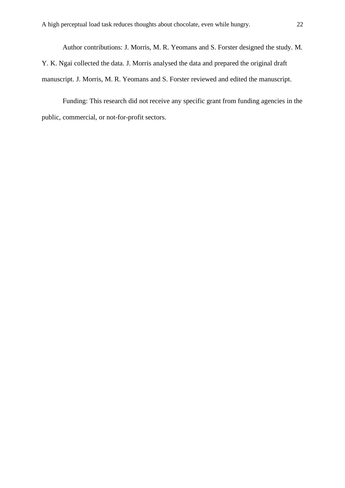Author contributions: J. Morris, M. R. Yeomans and S. Forster designed the study. M. Y. K. Ngai collected the data. J. Morris analysed the data and prepared the original draft manuscript. J. Morris, M. R. Yeomans and S. Forster reviewed and edited the manuscript.

Funding: This research did not receive any specific grant from funding agencies in the public, commercial, or not-for-profit sectors.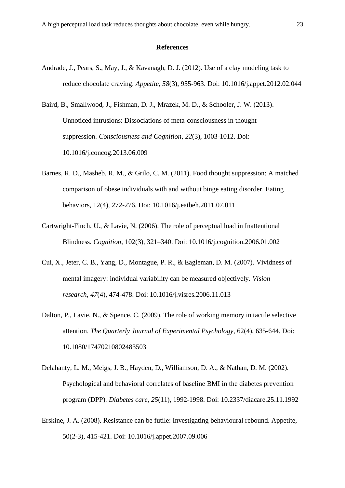#### **References**

Andrade, J., Pears, S., May, J., & Kavanagh, D. J. (2012). Use of a clay modeling task to reduce chocolate craving. *Appetite*, *58*(3), 955-963. Doi: 10.1016/j.appet.2012.02.044

Baird, B., Smallwood, J., Fishman, D. J., Mrazek, M. D., & Schooler, J. W. (2013). Unnoticed intrusions: Dissociations of meta-consciousness in thought suppression. *Consciousness and Cognition*, *22*(3), 1003-1012. Doi: 10.1016/j.concog.2013.06.009

- Barnes, R. D., Masheb, R. M., & Grilo, C. M. (2011). Food thought suppression: A matched comparison of obese individuals with and without binge eating disorder. Eating behaviors, 12(4), 272-276. Doi: 10.1016/j.eatbeh.2011.07.011
- Cartwright-Finch, U., & Lavie, N. (2006). The role of perceptual load in Inattentional Blindness. *Cognition*, 102(3), 321–340. Doi: 10.1016/j.cognition.2006.01.002
- Cui, X., Jeter, C. B., Yang, D., Montague, P. R., & Eagleman, D. M. (2007). Vividness of mental imagery: individual variability can be measured objectively. *Vision research*, *47*(4), 474-478. Doi: 10.1016/j.visres.2006.11.013
- Dalton, P., Lavie, N., & Spence, C. (2009). The role of working memory in tactile selective attention. *The Quarterly Journal of Experimental Psychology*, 62(4), 635-644. Doi: 10.1080/17470210802483503
- Delahanty, L. M., Meigs, J. B., Hayden, D., Williamson, D. A., & Nathan, D. M. (2002). Psychological and behavioral correlates of baseline BMI in the diabetes prevention program (DPP). *Diabetes care*, *25*(11), 1992-1998. Doi: 10.2337/diacare.25.11.1992
- Erskine, J. A. (2008). Resistance can be futile: Investigating behavioural rebound. Appetite, 50(2-3), 415-421. Doi: 10.1016/j.appet.2007.09.006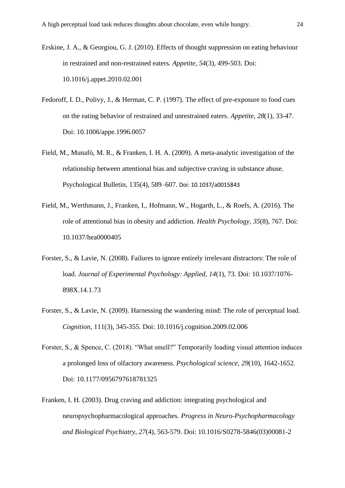- Erskine, J. A., & Georgiou, G. J. (2010). Effects of thought suppression on eating behaviour in restrained and non-restrained eaters. *Appetite*, *54*(3), 499-503. Doi: 10.1016/j.appet.2010.02.001
- Fedoroff, I. D., Polivy, J., & Herman, C. P. (1997). The effect of pre-exposure to food cues on the eating behavior of restrained and unrestrained eaters. *Appetite*, *28*(1), 33-47. Doi: 10.1006/appe.1996.0057
- Field, M., Munafò, M. R., & Franken, I. H. A. (2009). A meta-analytic investigation of the relationship between attentional bias and subjective craving in substance abuse. Psychological Bulletin, 135(4), 589–607. Doi: 10.1037/a0015843
- Field, M., Werthmann, J., Franken, I., Hofmann, W., Hogarth, L., & Roefs, A. (2016). The role of attentional bias in obesity and addiction. *Health Psychology*, *35*(8), 767. Doi: 10.1037/hea0000405
- Forster, S., & Lavie, N. (2008). Failures to ignore entirely irrelevant distractors: The role of load. *Journal of Experimental Psychology: Applied*, *14*(1), 73. Doi: 10.1037/1076- 898X.14.1.73
- Forster, S., & Lavie, N. (2009). Harnessing the wandering mind: The role of perceptual load. *Cognition,* 111(3), 345-355. Doi: 10.1016/j.cognition.2009.02.006
- Forster, S., & Spence, C. (2018). "What smell?" Temporarily loading visual attention induces a prolonged loss of olfactory awareness. *Psychological science*, *29*(10), 1642-1652. Doi: 10.1177/0956797618781325
- Franken, I. H. (2003). Drug craving and addiction: integrating psychological and neuropsychopharmacological approaches. *Progress in Neuro-Psychopharmacology and Biological Psychiatry*, *27*(4), 563-579. Doi: 10.1016/S0278-5846(03)00081-2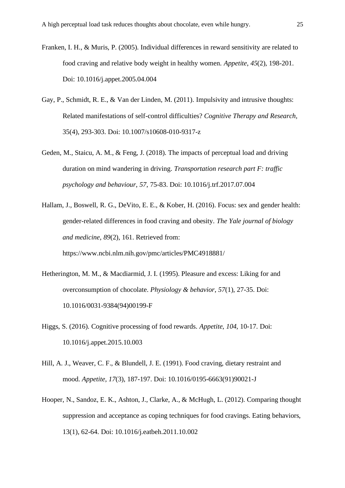- Franken, I. H., & Muris, P. (2005). Individual differences in reward sensitivity are related to food craving and relative body weight in healthy women. *Appetite*, *45*(2), 198-201. Doi: 10.1016/j.appet.2005.04.004
- Gay, P., Schmidt, R. E., & Van der Linden, M. (2011). Impulsivity and intrusive thoughts: Related manifestations of self-control difficulties? *Cognitive Therapy and Research,* 35(4), 293-303. Doi: 10.1007/s10608-010-9317-z
- Geden, M., Staicu, A. M., & Feng, J. (2018). The impacts of perceptual load and driving duration on mind wandering in driving. *Transportation research part F: traffic psychology and behaviour*, *57*, 75-83. Doi: 10.1016/j.trf.2017.07.004
- Hallam, J., Boswell, R. G., DeVito, E. E., & Kober, H. (2016). Focus: sex and gender health: gender-related differences in food craving and obesity. *The Yale journal of biology and medicine*, *89*(2), 161. Retrieved from: https://www.ncbi.nlm.nih.gov/pmc/articles/PMC4918881/
- Hetherington, M. M., & Macdiarmid, J. I. (1995). Pleasure and excess: Liking for and overconsumption of chocolate. *Physiology & behavior*, *57*(1), 27-35. Doi: 10.1016/0031-9384(94)00199-F
- Higgs, S. (2016). Cognitive processing of food rewards. *Appetite*, *104*, 10-17. Doi: 10.1016/j.appet.2015.10.003
- Hill, A. J., Weaver, C. F., & Blundell, J. E. (1991). Food craving, dietary restraint and mood. *Appetite*, *17*(3), 187-197. Doi: 10.1016/0195-6663(91)90021-J
- Hooper, N., Sandoz, E. K., Ashton, J., Clarke, A., & McHugh, L. (2012). Comparing thought suppression and acceptance as coping techniques for food cravings. Eating behaviors, 13(1), 62-64. Doi: 10.1016/j.eatbeh.2011.10.002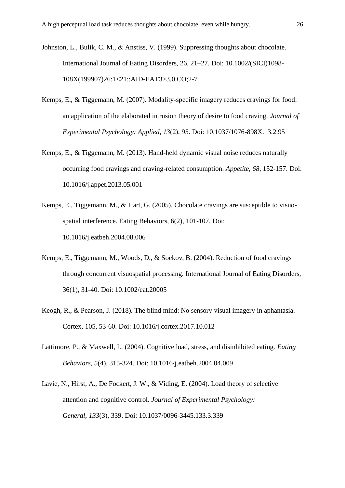- Johnston, L., Bulik, C. M., & Anstiss, V. (1999). Suppressing thoughts about chocolate. International Journal of Eating Disorders, 26, 21–27. Doi: 10.1002/(SICI)1098- 108X(199907)26:1<21::AID-EAT3>3.0.CO;2-7
- Kemps, E., & Tiggemann, M. (2007). Modality-specific imagery reduces cravings for food: an application of the elaborated intrusion theory of desire to food craving. *Journal of Experimental Psychology: Applied*, *13*(2), 95. Doi: 10.1037/1076-898X.13.2.95
- Kemps, E., & Tiggemann, M. (2013). Hand-held dynamic visual noise reduces naturally occurring food cravings and craving-related consumption. *Appetite*, *68*, 152-157. Doi: 10.1016/j.appet.2013.05.001
- Kemps, E., Tiggemann, M., & Hart, G. (2005). Chocolate cravings are susceptible to visuospatial interference. Eating Behaviors, 6(2), 101-107. Doi: 10.1016/j.eatbeh.2004.08.006
- Kemps, E., Tiggemann, M., Woods, D., & Soekov, B. (2004). Reduction of food cravings through concurrent visuospatial processing. International Journal of Eating Disorders, 36(1), 31-40. Doi: 10.1002/eat.20005
- Keogh, R., & Pearson, J. (2018). The blind mind: No sensory visual imagery in aphantasia. Cortex, 105, 53-60. Doi: 10.1016/j.cortex.2017.10.012
- Lattimore, P., & Maxwell, L. (2004). Cognitive load, stress, and disinhibited eating. *Eating Behaviors*, *5*(4), 315-324. Doi: 10.1016/j.eatbeh.2004.04.009
- Lavie, N., Hirst, A., De Fockert, J. W., & Viding, E. (2004). Load theory of selective attention and cognitive control. *Journal of Experimental Psychology: General*, *133*(3), 339. Doi: 10.1037/0096-3445.133.3.339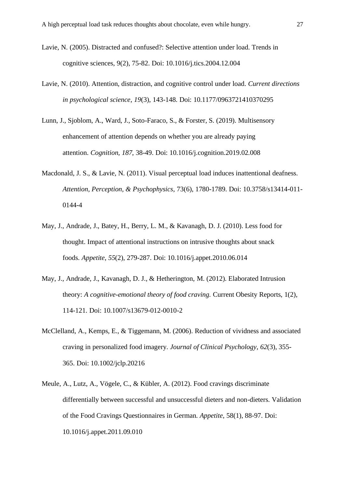- Lavie, N. (2005). Distracted and confused?: Selective attention under load. Trends in cognitive sciences, 9(2), 75-82. Doi: 10.1016/j.tics.2004.12.004
- Lavie, N. (2010). Attention, distraction, and cognitive control under load. *Current directions in psychological science*, *19*(3), 143-148. Doi: 10.1177/0963721410370295
- Lunn, J., Sjoblom, A., Ward, J., Soto-Faraco, S., & Forster, S. (2019). Multisensory enhancement of attention depends on whether you are already paying attention. *Cognition*, *187*, 38-49. Doi: 10.1016/j.cognition.2019.02.008
- Macdonald, J. S., & Lavie, N. (2011). Visual perceptual load induces inattentional deafness. *Attention, Perception, & Psychophysics*, 73(6), 1780-1789. Doi: 10.3758/s13414-011- 0144-4
- May, J., Andrade, J., Batey, H., Berry, L. M., & Kavanagh, D. J. (2010). Less food for thought. Impact of attentional instructions on intrusive thoughts about snack foods. *Appetite*, *55*(2), 279-287. Doi: 10.1016/j.appet.2010.06.014
- May, J., Andrade, J., Kavanagh, D. J., & Hetherington, M. (2012). Elaborated Intrusion theory: *A cognitive-emotional theory of food craving.* Current Obesity Reports, 1(2), 114-121. Doi: 10.1007/s13679-012-0010-2
- McClelland, A., Kemps, E., & Tiggemann, M. (2006). Reduction of vividness and associated craving in personalized food imagery. *Journal of Clinical Psychology*, *62*(3), 355- 365. Doi: 10.1002/jclp.20216
- Meule, A., Lutz, A., Vögele, C., & Kübler, A. (2012). Food cravings discriminate differentially between successful and unsuccessful dieters and non-dieters. Validation of the Food Cravings Questionnaires in German. *Appetite*, 58(1), 88-97. Doi: 10.1016/j.appet.2011.09.010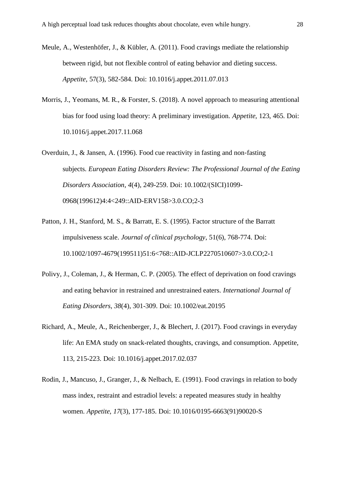- Meule, A., Westenhöfer, J., & Kübler, A. (2011). Food cravings mediate the relationship between rigid, but not flexible control of eating behavior and dieting success. *Appetite*, 57(3), 582-584. Doi: 10.1016/j.appet.2011.07.013
- Morris, J., Yeomans, M. R., & Forster, S. (2018). A novel approach to measuring attentional bias for food using load theory: A preliminary investigation. *Appetite,* 123, 465. Doi: 10.1016/j.appet.2017.11.068
- Overduin, J., & Jansen, A. (1996). Food cue reactivity in fasting and non‐fasting subjects. *European Eating Disorders Review: The Professional Journal of the Eating Disorders Association*, *4*(4), 249-259. Doi: 10.1002/(SICI)1099- 0968(199612)4:4<249::AID-ERV158>3.0.CO;2-3
- Patton, J. H., Stanford, M. S., & Barratt, E. S. (1995). Factor structure of the Barratt impulsiveness scale. *Journal of clinical psychology*, 51(6), 768-774. Doi: 10.1002/1097-4679(199511)51:6<768::AID-JCLP2270510607>3.0.CO;2-1
- Polivy, J., Coleman, J., & Herman, C. P. (2005). The effect of deprivation on food cravings and eating behavior in restrained and unrestrained eaters. *International Journal of Eating Disorders*, *38*(4), 301-309. Doi: 10.1002/eat.20195
- Richard, A., Meule, A., Reichenberger, J., & Blechert, J. (2017). Food cravings in everyday life: An EMA study on snack-related thoughts, cravings, and consumption. Appetite, 113, 215-223. Doi: 10.1016/j.appet.2017.02.037
- Rodin, J., Mancuso, J., Granger, J., & Nelbach, E. (1991). Food cravings in relation to body mass index, restraint and estradiol levels: a repeated measures study in healthy women. *Appetite*, *17*(3), 177-185. Doi: 10.1016/0195-6663(91)90020-S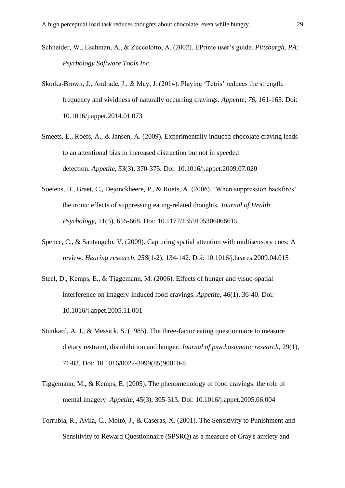- Schneider, W., Eschman, A., & Zuccolotto, A. (2002). EPrime user's guide. *Pittsburgh, PA: Psychology Software Tools Inc*.
- Skorka-Brown, J., Andrade, J., & May, J. (2014). Playing 'Tetris' reduces the strength, frequency and vividness of naturally occurring cravings. *Appetite*, *76*, 161-165. Doi: 10.1016/j.appet.2014.01.073
- Smeets, E., Roefs, A., & Jansen, A. (2009). Experimentally induced chocolate craving leads to an attentional bias in increased distraction but not in speeded detection. *Appetite*, *53*(3), 370-375. Doi: 10.1016/j.appet.2009.07.020
- Soetens, B., Braet, C., Dejonckheere, P., & Roets, A. (2006). 'When suppression backfires' the ironic effects of suppressing eating-related thoughts. *Journal of Health Psychology,* 11(5), 655-668. Doi: 10.1177/1359105306066615
- Spence, C., & Santangelo, V. (2009). Capturing spatial attention with multisensory cues: A review. *Hearing research*, *258*(1-2), 134-142. Doi: 10.1016/j.heares.2009.04.015
- Steel, D., Kemps, E., & Tiggemann, M. (2006). Effects of hunger and visuo-spatial interference on imagery-induced food cravings. *Appetite*, 46(1), 36-40. Doi: 10.1016/j.appet.2005.11.001
- Stunkard, A. J., & Messick, S. (1985). The three-factor eating questionnaire to measure dietary restraint, disinhibition and hunger. *Journal of psychosomatic research*, 29(1), 71-83. Doi: 10.1016/0022-3999(85)90010-8
- Tiggemann, M., & Kemps, E. (2005). The phenomenology of food cravings: the role of mental imagery. *Appetite,* 45(3), 305-313. Doi: 10.1016/j.appet.2005.06.004
- Torrubia, R., Avila, C., Moltó, J., & Caseras, X. (2001). The Sensitivity to Punishment and Sensitivity to Reward Questionnaire (SPSRQ) as a measure of Gray's anxiety and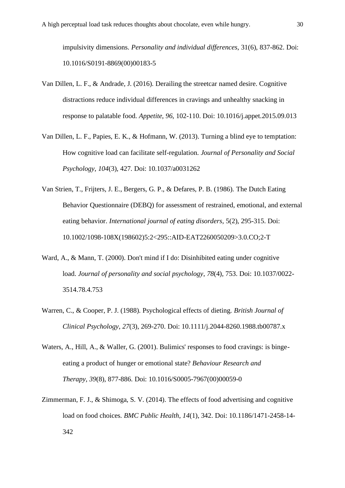impulsivity dimensions. *Personality and individual differences*, 31(6), 837-862. Doi: 10.1016/S0191-8869(00)00183-5

- Van Dillen, L. F., & Andrade, J. (2016). Derailing the streetcar named desire. Cognitive distractions reduce individual differences in cravings and unhealthy snacking in response to palatable food. *Appetite*, *96*, 102-110. Doi: 10.1016/j.appet.2015.09.013
- Van Dillen, L. F., Papies, E. K., & Hofmann, W. (2013). Turning a blind eye to temptation: How cognitive load can facilitate self-regulation. *Journal of Personality and Social Psychology*, *104*(3), 427. Doi: 10.1037/a0031262
- Van Strien, T., Frijters, J. E., Bergers, G. P., & Defares, P. B. (1986). The Dutch Eating Behavior Questionnaire (DEBQ) for assessment of restrained, emotional, and external eating behavior. *International journal of eating disorders*, 5(2), 295-315. Doi: 10.1002/1098-108X(198602)5:2<295::AID-EAT2260050209>3.0.CO;2-T
- Ward, A., & Mann, T. (2000). Don't mind if I do: Disinhibited eating under cognitive load. *Journal of personality and social psychology*, *78*(4), 753. Doi: 10.1037/0022- 3514.78.4.753
- Warren, C., & Cooper, P. J. (1988). Psychological effects of dieting. *British Journal of Clinical Psychology*, *27*(3), 269-270. Doi: 10.1111/j.2044-8260.1988.tb00787.x
- Waters, A., Hill, A., & Waller, G. (2001). Bulimics' responses to food cravings: is bingeeating a product of hunger or emotional state? *Behaviour Research and Therapy*, *39*(8), 877-886. Doi: 10.1016/S0005-7967(00)00059-0
- Zimmerman, F. J., & Shimoga, S. V. (2014). The effects of food advertising and cognitive load on food choices. *BMC Public Health*, *14*(1), 342. Doi: 10.1186/1471-2458-14- 342